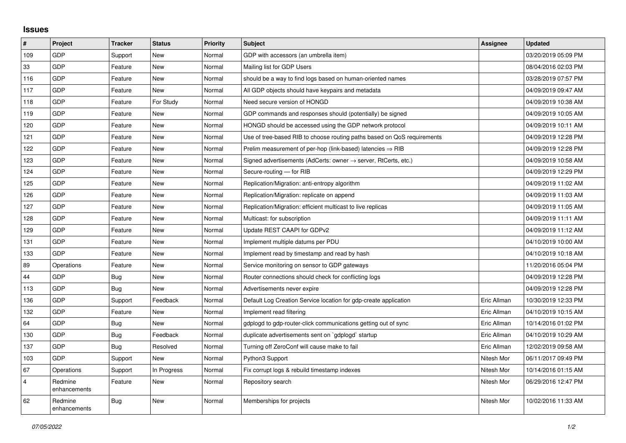## **Issues**

| $\vert$ #      | Project                 | <b>Tracker</b> | <b>Status</b> | <b>Priority</b> | <b>Subject</b>                                                             | Assignee    | <b>Updated</b>      |
|----------------|-------------------------|----------------|---------------|-----------------|----------------------------------------------------------------------------|-------------|---------------------|
| 109            | <b>GDP</b>              | Support        | <b>New</b>    | Normal          | GDP with accessors (an umbrella item)                                      |             | 03/20/2019 05:09 PM |
| 33             | GDP                     | Feature        | <b>New</b>    | Normal          | Mailing list for GDP Users                                                 |             | 08/04/2016 02:03 PM |
| 116            | GDP                     | Feature        | <b>New</b>    | Normal          | should be a way to find logs based on human-oriented names                 |             | 03/28/2019 07:57 PM |
| 117            | <b>GDP</b>              | Feature        | <b>New</b>    | Normal          | All GDP objects should have keypairs and metadata                          |             | 04/09/2019 09:47 AM |
| 118            | <b>GDP</b>              | Feature        | For Study     | Normal          | Need secure version of HONGD                                               |             | 04/09/2019 10:38 AM |
| 119            | GDP                     | Feature        | <b>New</b>    | Normal          | GDP commands and responses should (potentially) be signed                  |             | 04/09/2019 10:05 AM |
| 120            | GDP                     | Feature        | New           | Normal          | HONGD should be accessed using the GDP network protocol                    |             | 04/09/2019 10:11 AM |
| 121            | <b>GDP</b>              | Feature        | <b>New</b>    | Normal          | Use of tree-based RIB to choose routing paths based on QoS requirements    |             | 04/09/2019 12:28 PM |
| 122            | GDP                     | Feature        | <b>New</b>    | Normal          | Prelim measurement of per-hop (link-based) latencies $\Rightarrow$ RIB     |             | 04/09/2019 12:28 PM |
| 123            | GDP                     | Feature        | <b>New</b>    | Normal          | Signed advertisements (AdCerts: owner $\rightarrow$ server, RtCerts, etc.) |             | 04/09/2019 10:58 AM |
| 124            | <b>GDP</b>              | Feature        | <b>New</b>    | Normal          | Secure-routing - for RIB                                                   |             | 04/09/2019 12:29 PM |
| 125            | <b>GDP</b>              | Feature        | New           | Normal          | Replication/Migration: anti-entropy algorithm                              |             | 04/09/2019 11:02 AM |
| 126            | <b>GDP</b>              | Feature        | <b>New</b>    | Normal          | Replication/Migration: replicate on append                                 |             | 04/09/2019 11:03 AM |
| 127            | <b>GDP</b>              | Feature        | New           | Normal          | Replication/Migration: efficient multicast to live replicas                |             | 04/09/2019 11:05 AM |
| 128            | <b>GDP</b>              | Feature        | <b>New</b>    | Normal          | Multicast: for subscription                                                |             | 04/09/2019 11:11 AM |
| 129            | <b>GDP</b>              | Feature        | <b>New</b>    | Normal          | Update REST CAAPI for GDPv2                                                |             | 04/09/2019 11:12 AM |
| 131            | <b>GDP</b>              | Feature        | <b>New</b>    | Normal          | Implement multiple datums per PDU                                          |             | 04/10/2019 10:00 AM |
| 133            | <b>GDP</b>              | Feature        | <b>New</b>    | Normal          | Implement read by timestamp and read by hash                               |             | 04/10/2019 10:18 AM |
| 89             | Operations              | Feature        | <b>New</b>    | Normal          | Service monitoring on sensor to GDP gateways                               |             | 11/20/2016 05:04 PM |
| 44             | <b>GDP</b>              | <b>Bug</b>     | <b>New</b>    | Normal          | Router connections should check for conflicting logs                       |             | 04/09/2019 12:28 PM |
| 113            | GDP                     | Bug            | <b>New</b>    | Normal          | Advertisements never expire                                                |             | 04/09/2019 12:28 PM |
| 136            | <b>GDP</b>              | Support        | Feedback      | Normal          | Default Log Creation Service location for gdp-create application           | Eric Allman | 10/30/2019 12:33 PM |
| 132            | <b>GDP</b>              | Feature        | <b>New</b>    | Normal          | Implement read filtering                                                   | Eric Allman | 04/10/2019 10:15 AM |
| 64             | <b>GDP</b>              | Bug            | New           | Normal          | gdplogd to gdp-router-click communications getting out of sync             | Eric Allman | 10/14/2016 01:02 PM |
| 130            | GDP                     | <b>Bug</b>     | Feedback      | Normal          | duplicate advertisements sent on `gdplogd` startup                         | Eric Allman | 04/10/2019 10:29 AM |
| 137            | <b>GDP</b>              | Bug            | Resolved      | Normal          | Turning off ZeroConf will cause make to fail                               | Eric Allman | 12/02/2019 09:58 AM |
| 103            | <b>GDP</b>              | Support        | <b>New</b>    | Normal          | Python3 Support                                                            | Nitesh Mor  | 06/11/2017 09:49 PM |
| 67             | Operations              | Support        | In Progress   | Normal          | Fix corrupt logs & rebuild timestamp indexes                               | Nitesh Mor  | 10/14/2016 01:15 AM |
| $\overline{4}$ | Redmine<br>enhancements | Feature        | <b>New</b>    | Normal          | Repository search                                                          | Nitesh Mor  | 06/29/2016 12:47 PM |
| 62             | Redmine<br>enhancements | <b>Bug</b>     | <b>New</b>    | Normal          | Memberships for projects                                                   | Nitesh Mor  | 10/02/2016 11:33 AM |